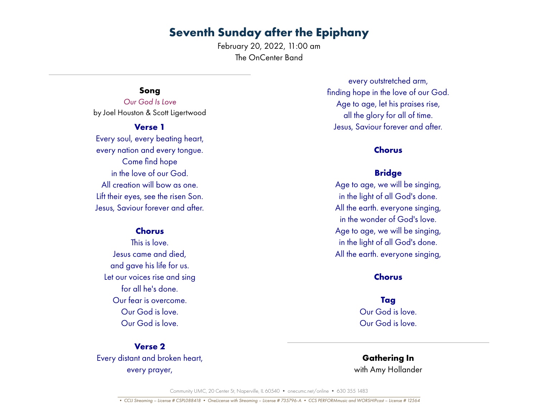February 20, 2022, 11:00 am The OnCenter Band

## **Song**

*Our God Is Love* by Joel Houston & Scott Ligertwood

#### **Verse 1**

Every soul, every beating heart, every nation and every tongue. Come find hope in the love of our God. All creation will bow as one. Lift their eyes, see the risen Son. Jesus, Saviour forever and after.

## **Chorus**

This is love. Jesus came and died, and gave his life for us. Let our voices rise and sing for all he's done. Our fear is overcome. Our God is love. Our God is love.

### **Verse 2**

Every distant and broken heart, every prayer,

every outstretched arm, finding hope in the love of our God. Age to age, let his praises rise, all the glory for all of time. Jesus, Saviour forever and after.

## **Chorus**

## **Bridge**

Age to age, we will be singing, in the light of all God's done. All the earth. everyone singing, in the wonder of God's love. Age to age, we will be singing, in the light of all God's done. All the earth. everyone singing,

#### **Chorus**

## **Tag**

Our God is love. Our God is love.

# **Gathering In** with Amy Hollander

Community UMC, 20 Center St, Naperville, IL 60540 • onecumc.net/online • 630 355 1483

*<sup>•</sup> CCLI Streaming – License # CSPL088418 • OneLicense with Streaming – License # 735796-A • CCS PERFORMmusic and WORSHIPcast – License # 12564*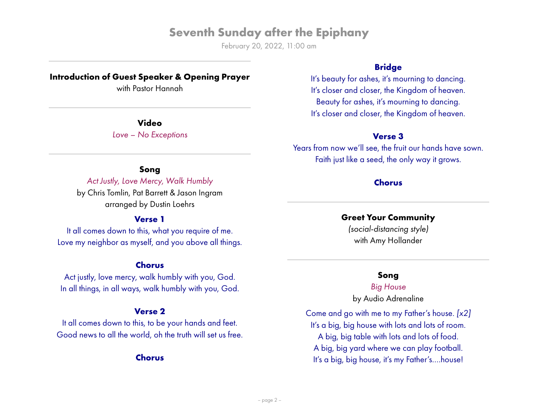February 20, 2022, 11:00 am

# **Introduction of Guest Speaker & Opening Prayer**

with Pastor Hannah

# **Video**

*Love – No Exceptions* 

# **Song**

*Act Justly, Love Mercy, Walk Humbly*

by Chris Tomlin, Pat Barrett & Jason Ingram arranged by Dustin Loehrs

# **Verse 1**

It all comes down to this, what you require of me. Love my neighbor as myself, and you above all things.

## **Chorus**

Act justly, love mercy, walk humbly with you, God. In all things, in all ways, walk humbly with you, God.

# **Verse 2**

It all comes down to this, to be your hands and feet. Good news to all the world, oh the truth will set us free.

# **Chorus**

# **Bridge**

It's beauty for ashes, it's mourning to dancing. It's closer and closer, the Kingdom of heaven. Beauty for ashes, it's mourning to dancing. It's closer and closer, the Kingdom of heaven.

## **Verse 3**

Years from now we'll see, the fruit our hands have sown. Faith just like a seed, the only way it grows.

## **Chorus**

## **Greet Your Community**

*(social-distancing style)* with Amy Hollander

## **Song**

*Big House*  by Audio Adrenaline

Come and go with me to my Father's house. *[x2]* It's a big, big house with lots and lots of room. A big, big table with lots and lots of food. A big, big yard where we can play football. It's a big, big house, it's my Father's….house!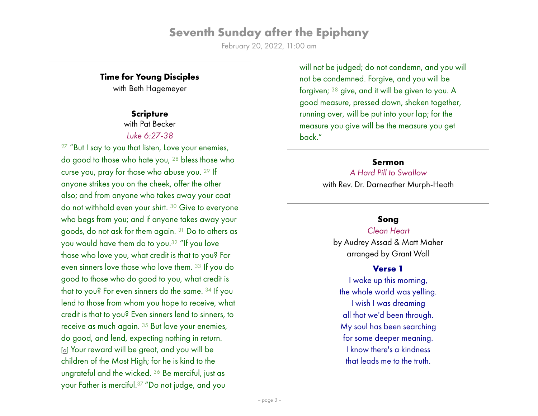February 20, 2022, 11:00 am

## **Time for Young Disciples**

with Beth Hagemeyer

#### **Scripture**

with Pat Becker *Luke 6:27-38*

 $27$  "But I say to you that listen, Love your enemies, do good to those who hate you, <sup>28</sup> bless those who curse you, pray for those who abuse you. <sup>29</sup> If anyone strikes you on the cheek, offer the other also; and from anyone who takes away your coat do not withhold even your shirt. <sup>30</sup> Give to everyone who begs from you; and if anyone takes away your goods, do not ask for them again. <sup>31</sup> Do to others as you would have them do to you.32 "If you love those who love you, what credit is that to you? For even sinners love those who love them. <sup>33</sup> If you do good to those who do good to you, what credit is that to you? For even sinners do the same. <sup>34</sup> If you lend to those from whom you hope to receive, what credit is that to you? Even sinners lend to sinners, to receive as much again. <sup>35</sup> But love your enemies, do good, and lend, expecting nothing in return. [[a](https://www.biblegateway.com/passage/?search=Luke+6%3A27-38&version=NRSV#fen-NRSV-25174a)] Your reward will be great, and you will be children of the Most High; for he is kind to the ungrateful and the wicked. <sup>36</sup> Be merciful, just as your Father is merciful.37 "Do not judge, and you

will not be judged; do not condemn, and you will not be condemned. Forgive, and you will be forgiven; <sup>38</sup> give, and it will be given to you. A good measure, pressed down, shaken together, running over, will be put into your lap; for the measure you give will be the measure you get back."

#### **Sermon**

*A Hard Pill to Swallow*  with Rev. Dr. Darneather Murph-Heath

## **Song**

*Clean Heart* by Audrey Assad & Matt Maher arranged by Grant Wall

#### **Verse 1**

I woke up this morning, the whole world was yelling. I wish I was dreaming all that we'd been through. My soul has been searching for some deeper meaning. I know there's a kindness that leads me to the truth.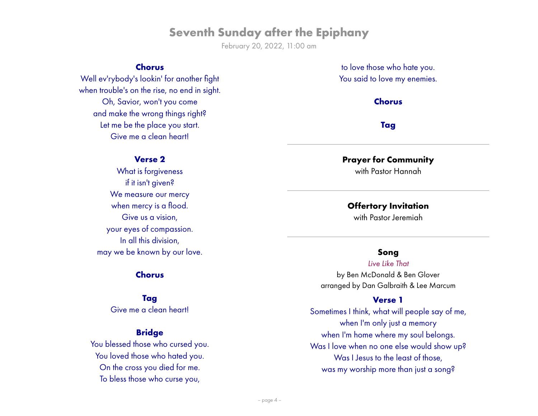February 20, 2022, 11:00 am

# **Chorus**

Well ev'rybody's lookin' for another fight when trouble's on the rise, no end in sight. Oh, Savior, won't you come and make the wrong things right? Let me be the place you start. Give me a clean heart!

## **Verse 2**

What is forgiveness if it isn't given? We measure our mercy when mercy is a flood. Give us a vision, your eyes of compassion. In all this division, may we be known by our love.

#### **Chorus**

**Tag** Give me a clean heart!

### **Bridge**

You blessed those who cursed you. You loved those who hated you. On the cross you died for me. To bless those who curse you,

to love those who hate you. You said to love my enemies.

# **Chorus**

#### **Tag**

#### **Prayer for Community**

with Pastor Hannah

#### **Offertory Invitation**

with Pastor Jeremiah

## **Song**

*Live Like That* by Ben McDonald & Ben Glover arranged by Dan Galbraith & Lee Marcum

#### **Verse 1**

Sometimes I think, what will people say of me, when I'm only just a memory when I'm home where my soul belongs. Was I love when no one else would show up? Was I Jesus to the least of those, was my worship more than just a song?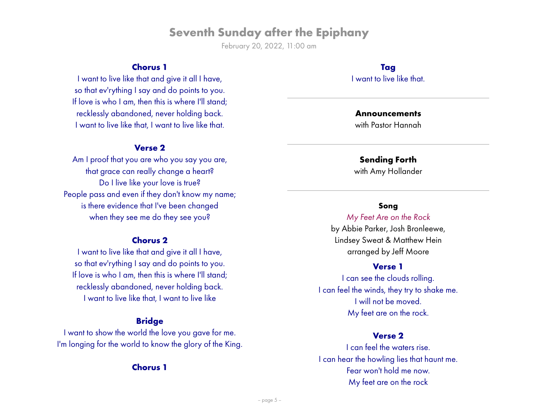February 20, 2022, 11:00 am

# **Chorus 1**

I want to live like that and give it all I have, so that ev'rything I say and do points to you. If love is who I am, then this is where I'll stand; recklessly abandoned, never holding back. I want to live like that, I want to live like that.

#### **Verse 2**

Am I proof that you are who you say you are, that grace can really change a heart? Do I live like your love is true? People pass and even if they don't know my name; is there evidence that I've been changed when they see me do they see you?

### **Chorus 2**

I want to live like that and give it all I have, so that ev'rything I say and do points to you. If love is who I am, then this is where I'll stand; recklessly abandoned, never holding back. I want to live like that, I want to live like

# **Bridge**

I want to show the world the love you gave for me. I'm longing for the world to know the glory of the King.

# **Chorus 1**

#### **Tag**

I want to live like that.

#### **Announcements**

with Pastor Hannah

# **Sending Forth**

with Amy Hollander

#### **Song**

#### *My Feet Are on the Rock*

by Abbie Parker, Josh Bronleewe, Lindsey Sweat & Matthew Hein arranged by Jeff Moore

#### **Verse 1**

I can see the clouds rolling. I can feel the winds, they try to shake me. I will not be moved. My feet are on the rock.

#### **Verse 2**

I can feel the waters rise. I can hear the howling lies that haunt me. Fear won't hold me now. My feet are on the rock